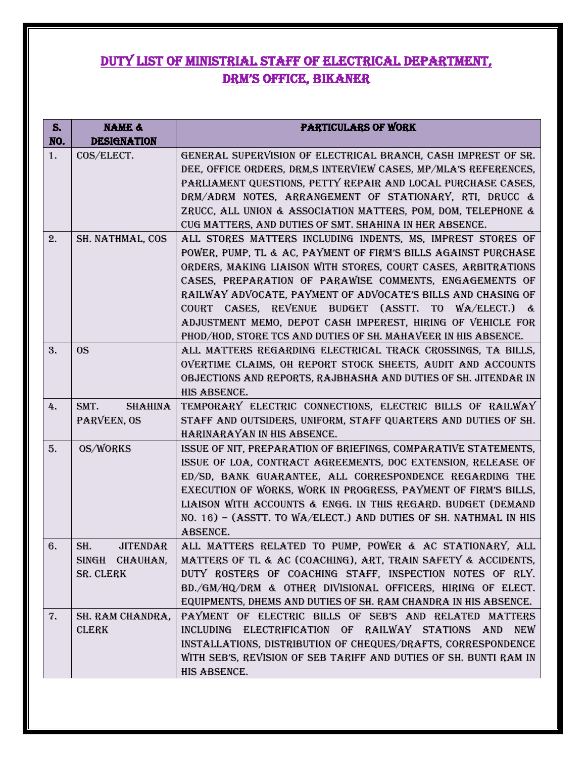## duty list of ministrial staff of electrical department, drm's office, bikaner

| S.  | <b>NAME &amp;</b>      | <b>PARTICULARS OF WORK</b>                                                                                                      |
|-----|------------------------|---------------------------------------------------------------------------------------------------------------------------------|
| NO. | <b>DESIGNATION</b>     |                                                                                                                                 |
| 1.  | COS/ELECT.             | GENERAL SUPERVISION OF ELECTRICAL BRANCH, CASH IMPREST OF SR.                                                                   |
|     |                        | DEE, OFFICE ORDERS, DRM,S INTERVIEW CASES, MP/MLA'S REFERENCES,<br>PARLIAMENT QUESTIONS, PETTY REPAIR AND LOCAL PURCHASE CASES, |
|     |                        | DRM/ADRM NOTES, ARRANGEMENT OF STATIONARY, RTI, DRUCC &                                                                         |
|     |                        | ZRUCC, ALL UNION & ASSOCIATION MATTERS, POM, DOM, TELEPHONE &                                                                   |
|     |                        | CUG MATTERS, AND DUTIES OF SMT. SHAHINA IN HER ABSENCE.                                                                         |
| 2.  | SH. NATHMAL, COS       | ALL STORES MATTERS INCLUDING INDENTS, MS, IMPREST STORES OF                                                                     |
|     |                        | POWER, PUMP, TL & AC, PAYMENT OF FIRM'S BILLS AGAINST PURCHASE                                                                  |
|     |                        | ORDERS, MAKING LIAISON WITH STORES, COURT CASES, ARBITRATIONS                                                                   |
|     |                        | CASES, PREPARATION OF PARAWISE COMMENTS, ENGAGEMENTS OF                                                                         |
|     |                        | RAILWAY ADVOCATE, PAYMENT OF ADVOCATE'S BILLS AND CHASING OF                                                                    |
|     |                        | COURT CASES, REVENUE BUDGET (ASSTT. TO WA/ELECT.) &                                                                             |
|     |                        | ADJUSTMENT MEMO, DEPOT CASH IMPEREST, HIRING OF VEHICLE FOR                                                                     |
|     |                        | PHOD/HOD, STORE TCS AND DUTIES OF SH. MAHAVEER IN HIS ABSENCE.                                                                  |
| 3.  | <sub>OS</sub>          | ALL MATTERS REGARDING ELECTRICAL TRACK CROSSINGS, TA BILLS,                                                                     |
|     |                        | OVERTIME CLAIMS, OH REPORT STOCK SHEETS, AUDIT AND ACCOUNTS                                                                     |
|     |                        | OBJECTIONS AND REPORTS, RAJBHASHA AND DUTIES OF SH. JITENDAR IN                                                                 |
|     |                        | HIS ABSENCE.                                                                                                                    |
| 4.  | SMT.<br><b>SHAHINA</b> | TEMPORARY ELECTRIC CONNECTIONS, ELECTRIC BILLS OF RAILWAY                                                                       |
|     | PARVEEN, OS            | STAFF AND OUTSIDERS, UNIFORM, STAFF QUARTERS AND DUTIES OF SH.<br>HARINARAYAN IN HIS ABSENCE.                                   |
| 5.  | <b>OS/WORKS</b>        | ISSUE OF NIT, PREPARATION OF BRIEFINGS, COMPARATIVE STATEMENTS,                                                                 |
|     |                        | ISSUE OF LOA, CONTRACT AGREEMENTS, DOC EXTENSION, RELEASE OF                                                                    |
|     |                        | ED/SD, BANK GUARANTEE, ALL CORRESPONDENCE REGARDING THE                                                                         |
|     |                        | EXECUTION OF WORKS, WORK IN PROGRESS, PAYMENT OF FIRM'S BILLS,                                                                  |
|     |                        | LIAISON WITH ACCOUNTS & ENGG. IN THIS REGARD. BUDGET (DEMAND                                                                    |
|     |                        | NO. 16) - (ASSTT. TO WA/ELECT.) AND DUTIES OF SH. NATHMAL IN HIS                                                                |
|     |                        | ABSENCE.                                                                                                                        |
| 6.  | SH.<br><b>JITENDAR</b> | ALL MATTERS RELATED TO PUMP, POWER & AC STATIONARY, ALL                                                                         |
|     | SINGH CHAUHAN,         | MATTERS OF TL & AC (COACHING), ART, TRAIN SAFETY & ACCIDENTS,                                                                   |
|     | <b>SR. CLERK</b>       | DUTY ROSTERS OF COACHING STAFF, INSPECTION NOTES OF RLY.                                                                        |
|     |                        | BD./GM/HQ/DRM & OTHER DIVISIONAL OFFICERS, HIRING OF ELECT.                                                                     |
|     |                        | EQUIPMENTS, DHEMS AND DUTIES OF SH. RAM CHANDRA IN HIS ABSENCE.                                                                 |
| 7.  | SH. RAM CHANDRA,       | PAYMENT OF ELECTRIC BILLS OF SEB'S AND RELATED MATTERS                                                                          |
|     | <b>CLERK</b>           | INCLUDING ELECTRIFICATION OF RAILWAY STATIONS AND<br><b>NEW</b>                                                                 |
|     |                        | INSTALLATIONS, DISTRIBUTION OF CHEQUES/DRAFTS, CORRESPONDENCE                                                                   |
|     |                        | WITH SEB'S, REVISION OF SEB TARIFF AND DUTIES OF SH. BUNTI RAM IN                                                               |
|     |                        | HIS ABSENCE.                                                                                                                    |